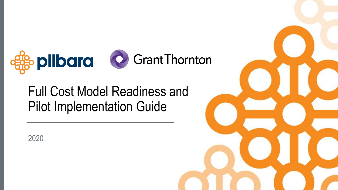

# Full Cost Model Readiness and Pilot Implementation Guide



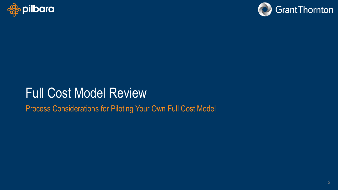



# Full Cost Model Review

Process Considerations for Piloting Your Own Full Cost Model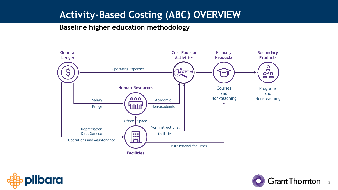# **Activity-Based Costing (ABC) OVERVIEW**

#### **Baseline higher education methodology**





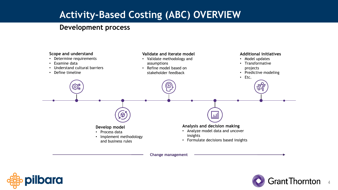# **Activity-Based Costing (ABC) OVERVIEW**

#### **Development process**



**Change management**



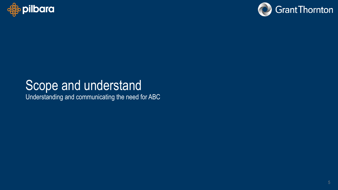



# Scope and understand

Understanding and communicating the need for ABC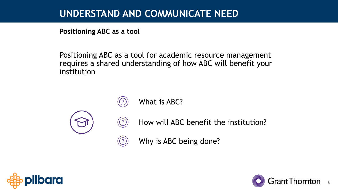# **UNDERSTAND AND COMMUNICATE NEED**

**Positioning ABC as a tool**

Positioning ABC as a tool for academic resource management requires a shared understanding of how ABC will benefit your institution



What is ABC?

 $\left( 7\right)$ 

 $\bigodot$ 

 $\bigodot$ 

How will ABC benefit the institution?

Why is ABC being done?



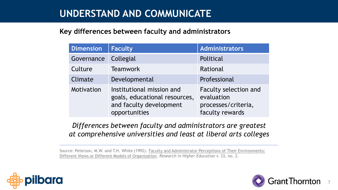# **UNDERSTAND AND COMMUNICATE**

#### **Key differences between faculty and administrators**

| <b>Dimension</b> | <b>Faculty</b>                                                                                         | Administrators                                                                       |
|------------------|--------------------------------------------------------------------------------------------------------|--------------------------------------------------------------------------------------|
| Governance       | Collegial                                                                                              | Political                                                                            |
| Culture          | <b>Teamwork</b>                                                                                        | Rational                                                                             |
| Climate          | Developmental                                                                                          | Professional                                                                         |
| Motivation       | Institutional mission and<br>goals, educational resources,<br>and faculty development<br>opportunities | <b>Faculty selection and</b><br>evaluation<br>processes/criteria,<br>faculty rewards |

*Differences between faculty and administrators are greatest at comprehensive universities and least at liberal arts colleges*

Source: Peterson, M.W. and T.H. White (1992). Faculty and Administrator Perceptions of Their Environments: Different Views or Different Models of Organization. *Research in Higher Education* v. 33, no. 2.



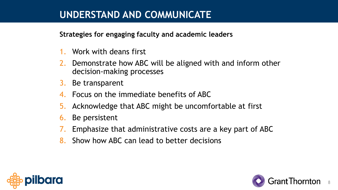# **UNDERSTAND AND COMMUNICATE**

### **Strategies for engaging faculty and academic leaders**

- 1. Work with deans first
- 2. Demonstrate how ABC will be aligned with and inform other decision-making processes
- 3. Be transparent
- 4. Focus on the immediate benefits of ABC
- 5. Acknowledge that ABC might be uncomfortable at first
- 6. Be persistent
- 7. Emphasize that administrative costs are a key part of ABC
- 8. Show how ABC can lead to better decisions



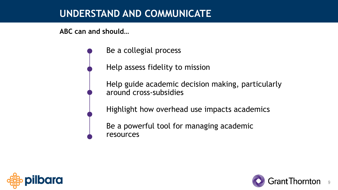# **UNDERSTAND AND COMMUNICATE**

**ABC can and should…**

Be a collegial process

Help assess fidelity to mission

Help guide academic decision making, particularly around cross-subsidies

Highlight how overhead use impacts academics

Be a powerful tool for managing academic resources



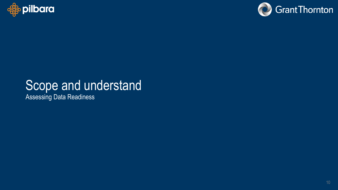



# Scope and understand

Assessing Data Readiness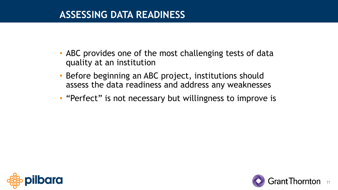- ABC provides one of the most challenging tests of data quality at an institution
- Before beginning an ABC project, institutions should assess the data readiness and address any weaknesses
- "Perfect" is not necessary but willingness to improve is



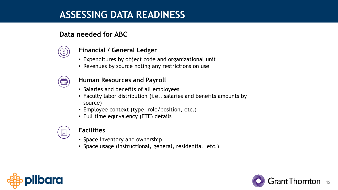#### **Data needed for ABC**



#### **Financial / General Ledger**

- Expenditures by object code and organizational unit
- Revenues by source noting any restrictions on use



#### **Human Resources and Payroll**

- Salaries and benefits of all employees
- Faculty labor distribution (i.e., salaries and benefits amounts by source)
- Employee context (type, role/position, etc.)
- Full time equivalency (FTE) details



#### **Facilities**

- Space inventory and ownership
- Space usage (instructional, general, residential, etc.)



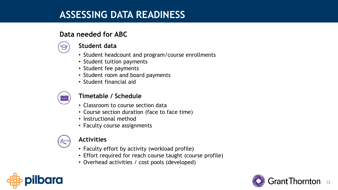#### **Data needed for ABC**



#### **Student data**

- Student headcount and program/course enrollments
- Student tuition payments
- Student fee payments
- Student room and board payments
- Student financial aid



#### **Timetable / Schedule**

- Classroom to course section data
- Course section duration (face to face time)
- Instructional method
- Faculty course assignments



#### **Activities**

- Faculty effort by activity (workload profile)
- Effort required for reach course taught (course profile)
- Overhead activities / cost pools (developed)



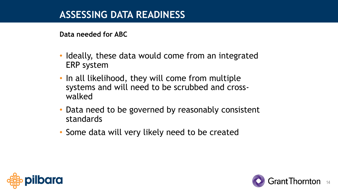**Data needed for ABC**

- Ideally, these data would come from an integrated ERP system
- In all likelihood, they will come from multiple systems and will need to be scrubbed and crosswalked
- Data need to be governed by reasonably consistent standards
- Some data will very likely need to be created



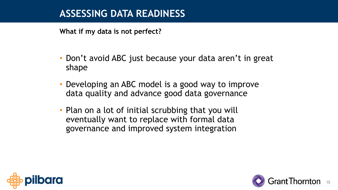**What if my data is not perfect?**

- Don't avoid ABC just because your data aren't in great shape
- Developing an ABC model is a good way to improve data quality and advance good data governance
- Plan on a lot of initial scrubbing that you will eventually want to replace with formal data governance and improved system integration



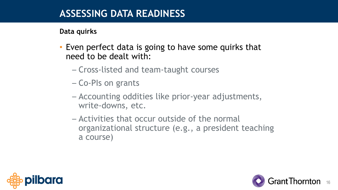### **Data quirks**

- Even perfect data is going to have some quirks that need to be dealt with:
	- Cross-listed and team-taught courses
	- Co-PIs on grants
	- Accounting oddities like prior-year adjustments, write-downs, etc.
	- Activities that occur outside of the normal organizational structure (e.g., a president teaching a course)



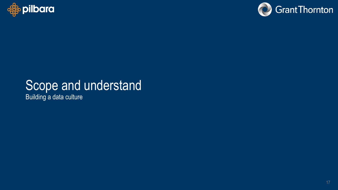



# Scope and understand

Building a data culture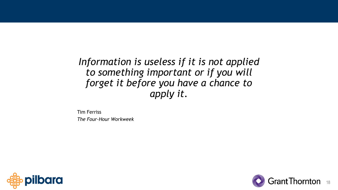*Information is useless if it is not applied to something important or if you will forget it before you have a chance to apply it.*

Tim Ferriss *The Four-Hour Workweek*



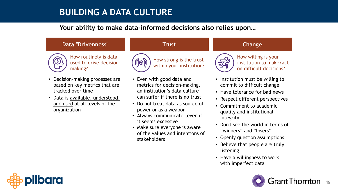## **BUILDING A DATA CULTURE**

#### **Your ability to make data-informed decisions also relies upon…**

#### **Data "Drivenness" Trust Change**



How routinely is data used to drive decisionmaking?

- Decision-making processes are based on key metrics that are tracked over time
- Data is available, understood, and used at all levels of the organization



- Even with good data and metrics for decision-making, an institution's data culture can suffer if there is no trust
- Do not treat data as source of power or as a weapon
- Always communicate…even if it seems excessive
- Make sure everyone is aware of the values and intentions of stakeholders



How willing is your institution to make/act on difficult decisions?

- Institution must be willing to commit to difficult change
- Have tolerance for bad news
- Respect different perspectives
- Commitment to academic quality and institutional integrity
- Don't see the world in terms of "winners" and "losers"
- Openly question assumptions
- Believe that people are truly listening
- Have a willingness to work with imperfect data



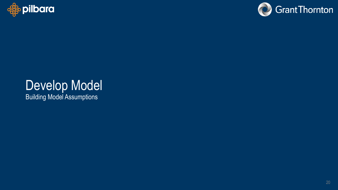



# Develop Model Building Model Assumptions

20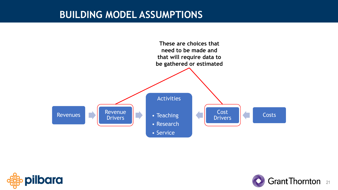



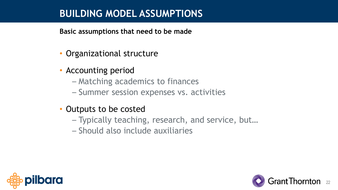**Basic assumptions that need to be made**

- Organizational structure
- Accounting period
	- Matching academics to finances
	- Summer session expenses vs. activities
- Outputs to be costed
	- Typically teaching, research, and service, but…
	- Should also include auxiliaries



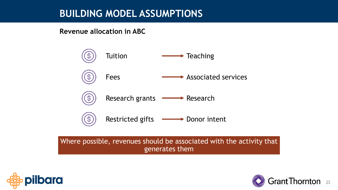**Revenue allocation in ABC**



Where possible, revenues should be associated with the activity that generates them



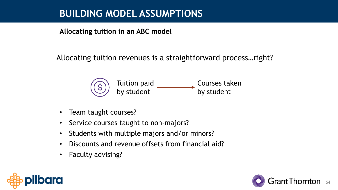**Allocating tuition in an ABC model**

Allocating tuition revenues is a straightforward process…right?



- Team taught courses?
- Service courses taught to non-majors?
- Students with multiple majors and/or minors?
- Discounts and revenue offsets from financial aid?
- Faculty advising?



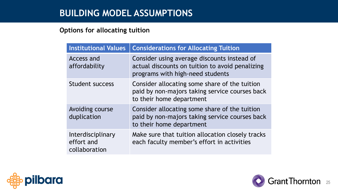#### **Options for allocating tuition**

| <b>Institutional Values</b>                      | <b>Considerations for Allocating Tuition</b>                                                                                       |  |  |  |  |  |
|--------------------------------------------------|------------------------------------------------------------------------------------------------------------------------------------|--|--|--|--|--|
| Access and<br>affordability                      | Consider using average discounts instead of<br>actual discounts on tuition to avoid penalizing<br>programs with high-need students |  |  |  |  |  |
| Student success                                  | Consider allocating some share of the tuition<br>paid by non-majors taking service courses back<br>to their home department        |  |  |  |  |  |
| Avoiding course<br>duplication                   | Consider allocating some share of the tuition<br>paid by non-majors taking service courses back<br>to their home department        |  |  |  |  |  |
| Interdisciplinary<br>effort and<br>collaboration | Make sure that tuition allocation closely tracks<br>each faculty member's effort in activities                                     |  |  |  |  |  |



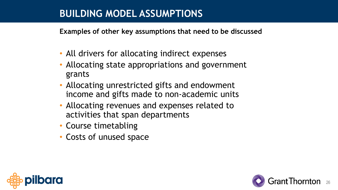**Examples of other key assumptions that need to be discussed**

- All drivers for allocating indirect expenses
- Allocating state appropriations and government grants
- Allocating unrestricted gifts and endowment income and gifts made to non-academic units
- Allocating revenues and expenses related to activities that span departments
- Course timetabling
- Costs of unused space



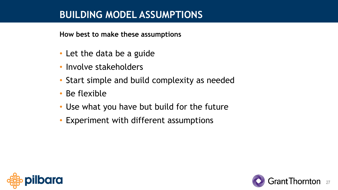**How best to make these assumptions**

- Let the data be a guide
- Involve stakeholders
- Start simple and build complexity as needed
- Be flexible
- Use what you have but build for the future
- Experiment with different assumptions



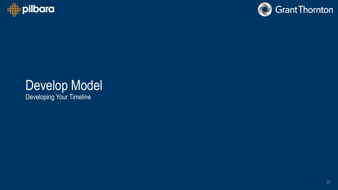



# Develop Model

Developing Your Timeline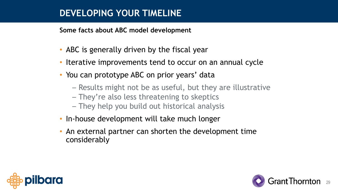### **DEVELOPING YOUR TIMELINE**

**Some facts about ABC model development**

- ABC is generally driven by the fiscal year
- Iterative improvements tend to occur on an annual cycle
- You can prototype ABC on prior years' data
	- Results might not be as useful, but they are illustrative
	- They're also less threatening to skeptics
	- They help you build out historical analysis
- In-house development will take much longer
- An external partner can shorten the development time considerably



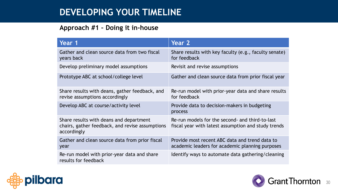## **DEVELOPING YOUR TIMELINE**

#### **Approach #1 – Doing it in-house**

| Year 1                                                                                                    | Year 2                                                                                                 |  |  |  |  |  |  |
|-----------------------------------------------------------------------------------------------------------|--------------------------------------------------------------------------------------------------------|--|--|--|--|--|--|
| Gather and clean source data from two fiscal<br>years back                                                | Share results with key faculty (e.g., faculty senate)<br>for feedback                                  |  |  |  |  |  |  |
| Develop preliminary model assumptions                                                                     | Revisit and revise assumptions                                                                         |  |  |  |  |  |  |
| Prototype ABC at school/college level                                                                     | Gather and clean source data from prior fiscal year                                                    |  |  |  |  |  |  |
| Share results with deans, gather feedback, and<br>revise assumptions accordingly                          | Re-run model with prior-year data and share results<br>for feedback                                    |  |  |  |  |  |  |
| Develop ABC at course/activity level                                                                      | Provide data to decision-makers in budgeting<br>process                                                |  |  |  |  |  |  |
| Share results with deans and department<br>chairs, gather feedback, and revise assumptions<br>accordingly | Re-run models for the second- and third-to-last<br>fiscal year with latest assumption and study trends |  |  |  |  |  |  |
| Gather and clean source data from prior fiscal<br>year                                                    | Provide most recent ABC data and trend data to<br>academic leaders for academic planning purposes      |  |  |  |  |  |  |
| Re-run model with prior-year data and share<br>results for feedback                                       | Identify ways to automate data gathering/cleaning                                                      |  |  |  |  |  |  |



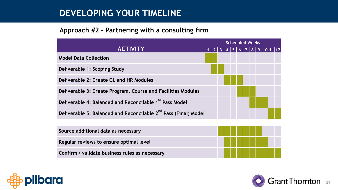### **DEVELOPING YOUR TIMELINE**

#### **Approach #2 – Partnering with a consulting firm**

| <b>ACTIVITY</b>                                                             |  | <b>Scheduled Weeks</b> |                         |  |  |           |  |  |  |  |  |  |  |
|-----------------------------------------------------------------------------|--|------------------------|-------------------------|--|--|-----------|--|--|--|--|--|--|--|
|                                                                             |  |                        | $\overline{\mathbf{3}}$ |  |  | 5 6 7 8 9 |  |  |  |  |  |  |  |
| <b>Model Data Collection</b>                                                |  |                        |                         |  |  |           |  |  |  |  |  |  |  |
| Deliverable 1: Scoping Study                                                |  |                        |                         |  |  |           |  |  |  |  |  |  |  |
| Deliverable 2: Create GL and HR Modules                                     |  |                        |                         |  |  |           |  |  |  |  |  |  |  |
| Deliverable 3: Create Program, Course and Facilities Modules                |  |                        |                         |  |  |           |  |  |  |  |  |  |  |
| Deliverable 4: Balanced and Reconcilable 1 <sup>st</sup> Pass Model         |  |                        |                         |  |  |           |  |  |  |  |  |  |  |
| Deliverable 5: Balanced and Reconcilable 2 <sup>nd</sup> Pass (Final) Model |  |                        |                         |  |  |           |  |  |  |  |  |  |  |
|                                                                             |  |                        |                         |  |  |           |  |  |  |  |  |  |  |





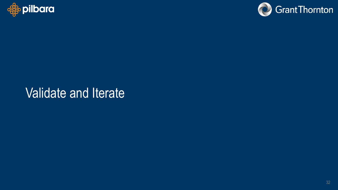



# Validate and Iterate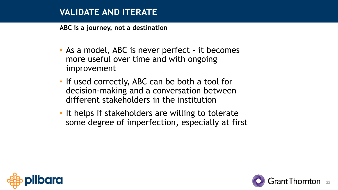**ABC is a journey, not a destination**

- As a model, ABC is never perfect it becomes more useful over time and with ongoing improvement
- If used correctly, ABC can be both a tool for decision-making and a conversation between different stakeholders in the institution
- It helps if stakeholders are willing to tolerate some degree of imperfection, especially at first



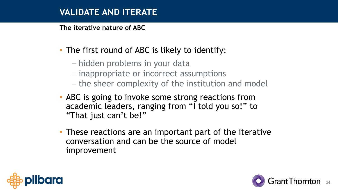**The iterative nature of ABC**

- The first round of ABC is likely to identify:
	- hidden problems in your data
	- inappropriate or incorrect assumptions
	- the sheer complexity of the institution and model
- ABC is going to invoke some strong reactions from academic leaders, ranging from "I told you so!" to "That just can't be!"
- These reactions are an important part of the iterative conversation and can be the source of model improvement



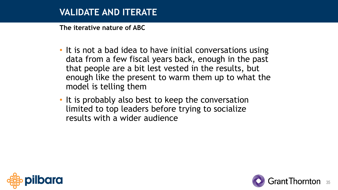**The iterative nature of ABC**

- It is not a bad idea to have initial conversations using data from a few fiscal years back, enough in the past that people are a bit lest vested in the results, but enough like the present to warm them up to what the model is telling them
- It is probably also best to keep the conversation limited to top leaders before trying to socialize results with a wider audience



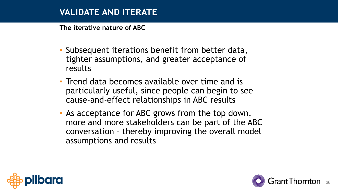**The iterative nature of ABC**

- Subsequent iterations benefit from better data, tighter assumptions, and greater acceptance of results
- Trend data becomes available over time and is particularly useful, since people can begin to see cause-and-effect relationships in ABC results
- As acceptance for ABC grows from the top down, more and more stakeholders can be part of the ABC conversation – thereby improving the overall model assumptions and results



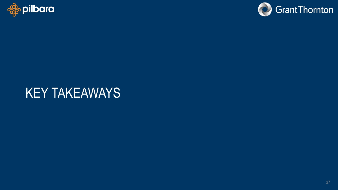



# KEY TAKEAWAYS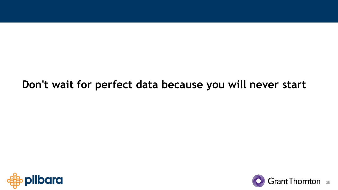# **Don't wait for perfect data because you will never start**



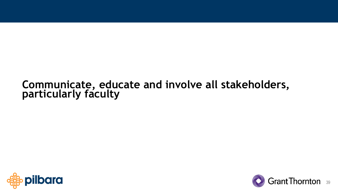# **Communicate, educate and involve all stakeholders, particularly faculty**



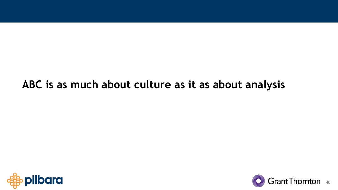# **ABC is as much about culture as it as about analysis**



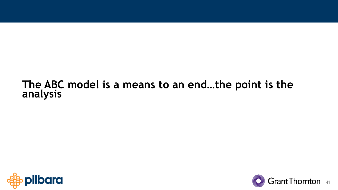# **The ABC model is a means to an end…the point is the analysis**